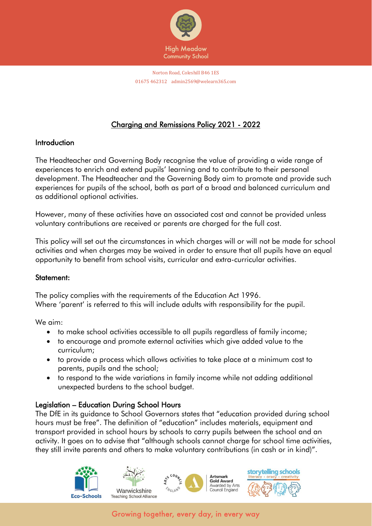

# Charging and Remissions Policy 2021 - 2022

### **Introduction**

The Headteacher and Governing Body recognise the value of providing a wide range of experiences to enrich and extend pupils' learning and to contribute to their personal development. The Headteacher and the Governing Body aim to promote and provide such experiences for pupils of the school, both as part of a broad and balanced curriculum and as additional optional activities.

However, many of these activities have an associated cost and cannot be provided unless voluntary contributions are received or parents are charged for the full cost.

This policy will set out the circumstances in which charges will or will not be made for school activities and when charges may be waived in order to ensure that all pupils have an equal opportunity to benefit from school visits, curricular and extra-curricular activities.

### Statement:

The policy complies with the requirements of the Education Act 1996. Where 'parent' is referred to this will include adults with responsibility for the pupil.

We aim:

- to make school activities accessible to all pupils regardless of family income;
- to encourage and promote external activities which give added value to the curriculum;
- to provide a process which allows activities to take place at a minimum cost to parents, pupils and the school;
- to respond to the wide variations in family income while not adding additional unexpected burdens to the school budget.

# Legislation – Education During School Hours

The DfE in its guidance to School Governors states that "education provided during school hours must be free". The definition of "education" includes materials, equipment and transport provided in school hours by schools to carry pupils between the school and an activity. It goes on to advise that "although schools cannot charge for school time activities, they still invite parents and others to make voluntary contributions (in cash or in kind)".

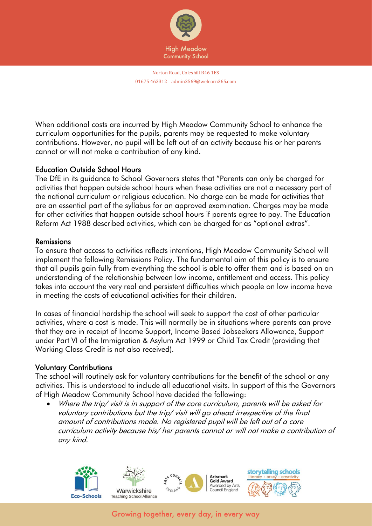

When additional costs are incurred by High Meadow Community School to enhance the curriculum opportunities for the pupils, parents may be requested to make voluntary contributions. However, no pupil will be left out of an activity because his or her parents cannot or will not make a contribution of any kind.

### Education Outside School Hours

The DfE in its guidance to School Governors states that "Parents can only be charged for activities that happen outside school hours when these activities are not a necessary part of the national curriculum or religious education. No charge can be made for activities that are an essential part of the syllabus for an approved examination. Charges may be made for other activities that happen outside school hours if parents agree to pay. The Education Reform Act 1988 described activities, which can be charged for as "optional extras".

#### Remissions

To ensure that access to activities reflects intentions, High Meadow Community School will implement the following Remissions Policy. The fundamental aim of this policy is to ensure that all pupils gain fully from everything the school is able to offer them and is based on an understanding of the relationship between low income, entitlement and access. This policy takes into account the very real and persistent difficulties which people on low income have in meeting the costs of educational activities for their children.

In cases of financial hardship the school will seek to support the cost of other particular activities, where a cost is made. This will normally be in situations where parents can prove that they are in receipt of Income Support, Income Based Jobseekers Allowance, Support under Part VI of the Immigration & Asylum Act 1999 or Child Tax Credit (providing that Working Class Credit is not also received).

### Voluntary Contributions

The school will routinely ask for voluntary contributions for the benefit of the school or any activities. This is understood to include all educational visits. In support of this the Governors of High Meadow Community School have decided the following:

• Where the trip/ visit is in support of the core curriculum, parents will be asked for voluntary contributions but the trip/ visit will go ahead irrespective of the final amount of contributions made. No registered pupil will be left out of a core curriculum activity because his/ her parents cannot or will not make a contribution of any kind.

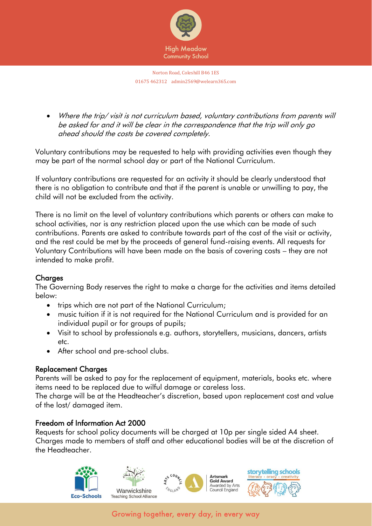

• Where the trip/ visit is not curriculum based, voluntary contributions from parents will be asked for and it will be clear in the correspondence that the trip will only go ahead should the costs be covered completely.

Voluntary contributions may be requested to help with providing activities even though they may be part of the normal school day or part of the National Curriculum.

If voluntary contributions are requested for an activity it should be clearly understood that there is no obligation to contribute and that if the parent is unable or unwilling to pay, the child will not be excluded from the activity.

There is no limit on the level of voluntary contributions which parents or others can make to school activities, nor is any restriction placed upon the use which can be made of such contributions. Parents are asked to contribute towards part of the cost of the visit or activity, and the rest could be met by the proceeds of general fund-raising events. All requests for Voluntary Contributions will have been made on the basis of covering costs – they are not intended to make profit.

# **Charges**

The Governing Body reserves the right to make a charge for the activities and items detailed below:

- trips which are not part of the National Curriculum;
- music tuition if it is not required for the National Curriculum and is provided for an individual pupil or for groups of pupils;
- Visit to school by professionals e.g. authors, storytellers, musicians, dancers, artists etc.
- After school and pre-school clubs.

# Replacement Charges

Parents will be asked to pay for the replacement of equipment, materials, books etc. where items need to be replaced due to wilful damage or careless loss.

The charge will be at the Headteacher's discretion, based upon replacement cost and value of the lost/ damaged item.

# Freedom of Information Act 2000

Requests for school policy documents will be charged at 10p per single sided A4 sheet. Charges made to members of staff and other educational bodies will be at the discretion of the Headteacher.